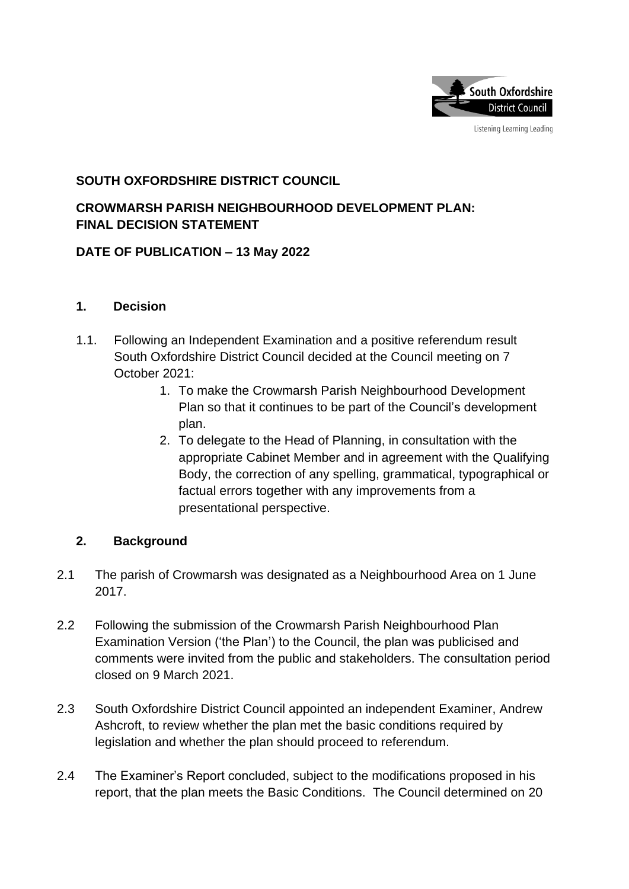

Listening Learning Leading

# **SOUTH OXFORDSHIRE DISTRICT COUNCIL**

# **CROWMARSH PARISH NEIGHBOURHOOD DEVELOPMENT PLAN: FINAL DECISION STATEMENT**

# **DATE OF PUBLICATION – 13 May 2022**

### **1. Decision**

- 1.1. Following an Independent Examination and a positive referendum result South Oxfordshire District Council decided at the Council meeting on 7 October 2021:
	- 1. To make the Crowmarsh Parish Neighbourhood Development Plan so that it continues to be part of the Council's development plan.
	- 2. To delegate to the Head of Planning, in consultation with the appropriate Cabinet Member and in agreement with the Qualifying Body, the correction of any spelling, grammatical, typographical or factual errors together with any improvements from a presentational perspective.

## **2. Background**

- 2.1 The parish of Crowmarsh was designated as a Neighbourhood Area on 1 June 2017.
- 2.2 Following the submission of the Crowmarsh Parish Neighbourhood Plan Examination Version ('the Plan') to the Council, the plan was publicised and comments were invited from the public and stakeholders. The consultation period closed on 9 March 2021.
- 2.3 South Oxfordshire District Council appointed an independent Examiner, Andrew Ashcroft, to review whether the plan met the basic conditions required by legislation and whether the plan should proceed to referendum.
- 2.4 The Examiner's Report concluded, subject to the modifications proposed in his report, that the plan meets the Basic Conditions. The Council determined on 20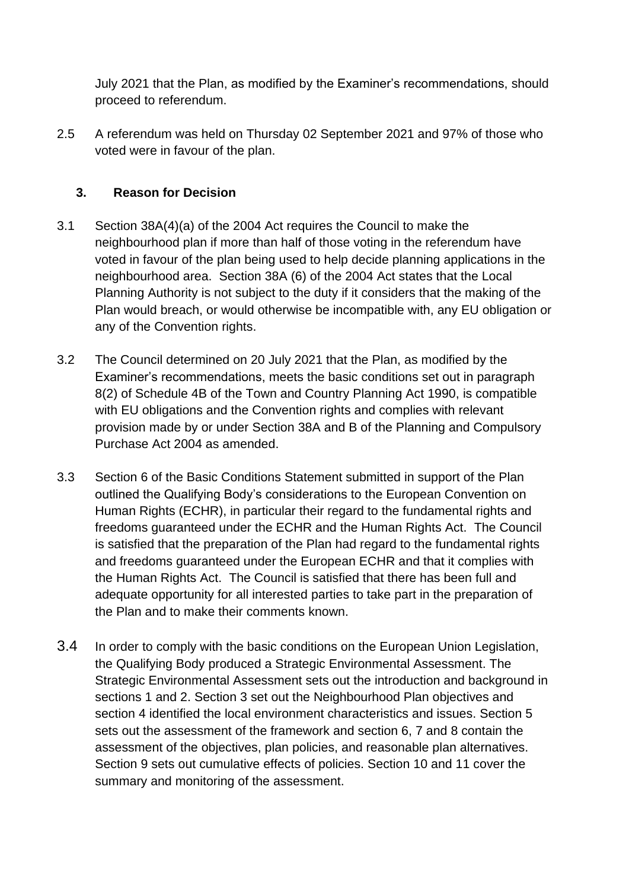July 2021 that the Plan, as modified by the Examiner's recommendations, should proceed to referendum.

2.5 A referendum was held on Thursday 02 September 2021 and 97% of those who voted were in favour of the plan.

# **3. Reason for Decision**

- 3.1 Section 38A(4)(a) of the 2004 Act requires the Council to make the neighbourhood plan if more than half of those voting in the referendum have voted in favour of the plan being used to help decide planning applications in the neighbourhood area. Section 38A (6) of the 2004 Act states that the Local Planning Authority is not subject to the duty if it considers that the making of the Plan would breach, or would otherwise be incompatible with, any EU obligation or any of the Convention rights.
- 3.2 The Council determined on 20 July 2021 that the Plan, as modified by the Examiner's recommendations, meets the basic conditions set out in paragraph 8(2) of Schedule 4B of the Town and Country Planning Act 1990, is compatible with EU obligations and the Convention rights and complies with relevant provision made by or under Section 38A and B of the Planning and Compulsory Purchase Act 2004 as amended.
- 3.3 Section 6 of the Basic Conditions Statement submitted in support of the Plan outlined the Qualifying Body's considerations to the European Convention on Human Rights (ECHR), in particular their regard to the fundamental rights and freedoms guaranteed under the ECHR and the Human Rights Act. The Council is satisfied that the preparation of the Plan had regard to the fundamental rights and freedoms guaranteed under the European ECHR and that it complies with the Human Rights Act. The Council is satisfied that there has been full and adequate opportunity for all interested parties to take part in the preparation of the Plan and to make their comments known.
- 3.4 In order to comply with the basic conditions on the European Union Legislation, the Qualifying Body produced a Strategic Environmental Assessment. The Strategic Environmental Assessment sets out the introduction and background in sections 1 and 2. Section 3 set out the Neighbourhood Plan objectives and section 4 identified the local environment characteristics and issues. Section 5 sets out the assessment of the framework and section 6, 7 and 8 contain the assessment of the objectives, plan policies, and reasonable plan alternatives. Section 9 sets out cumulative effects of policies. Section 10 and 11 cover the summary and monitoring of the assessment.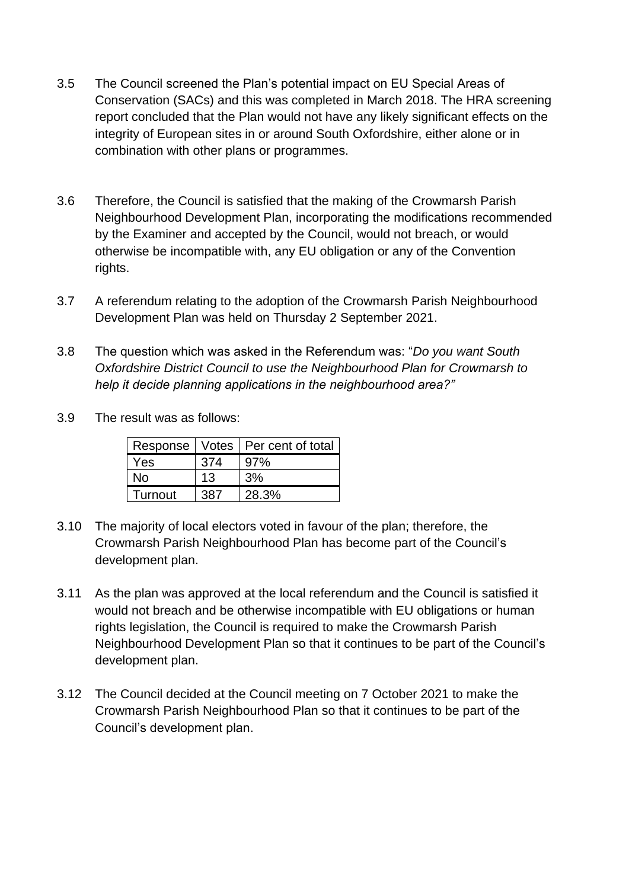- 3.5 The Council screened the Plan's potential impact on EU Special Areas of Conservation (SACs) and this was completed in March 2018. The HRA screening report concluded that the Plan would not have any likely significant effects on the integrity of European sites in or around South Oxfordshire, either alone or in combination with other plans or programmes.
- 3.6 Therefore, the Council is satisfied that the making of the Crowmarsh Parish Neighbourhood Development Plan, incorporating the modifications recommended by the Examiner and accepted by the Council, would not breach, or would otherwise be incompatible with, any EU obligation or any of the Convention rights.
- 3.7 A referendum relating to the adoption of the Crowmarsh Parish Neighbourhood Development Plan was held on Thursday 2 September 2021.
- 3.8 The question which was asked in the Referendum was: "*Do you want South Oxfordshire District Council to use the Neighbourhood Plan for Crowmarsh to help it decide planning applications in the neighbourhood area?"*
- 3.9 The result was as follows:

|         |     | Response   Votes   Per cent of total |
|---------|-----|--------------------------------------|
| Yes     | 374 | 97%                                  |
| N٥      | 13  | 3%                                   |
| Turnout |     | 28.3%                                |

- 3.10 The majority of local electors voted in favour of the plan; therefore, the Crowmarsh Parish Neighbourhood Plan has become part of the Council's development plan.
- 3.11 As the plan was approved at the local referendum and the Council is satisfied it would not breach and be otherwise incompatible with EU obligations or human rights legislation, the Council is required to make the Crowmarsh Parish Neighbourhood Development Plan so that it continues to be part of the Council's development plan.
- 3.12 The Council decided at the Council meeting on 7 October 2021 to make the Crowmarsh Parish Neighbourhood Plan so that it continues to be part of the Council's development plan.